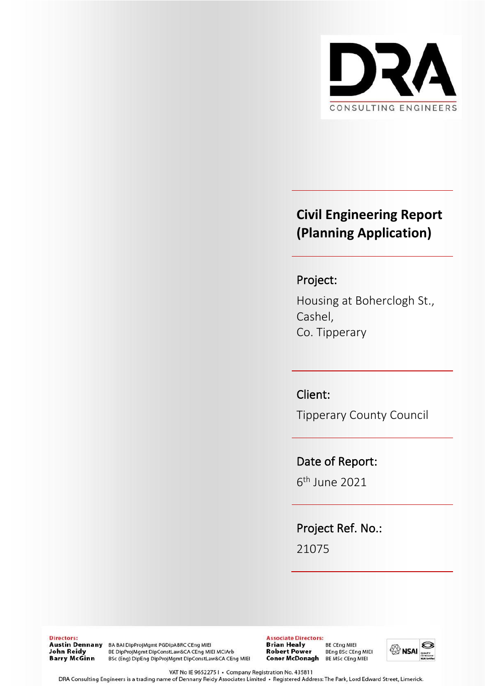

# **Civil Engineering Report (Planning Application)**

# Project:

Housing at Boherclogh St., Cashel, Co. Tipperary

# Client:

Tipperary County Council

## Date of Report:

6 th June 2021

Project Ref. No.:

21075

Directors: John Reidy **Barry McGinn** 

Austin Dennany BA BAI DipProjMgmt PGDIpABRC CEng MIEI BE DipProjMgmt DipConstLaw&CA CEng MIEI MCIArb BSc (Eng) DipEng DipProjMgmt DipConstLaw&CA CEng MIEI **Associate Directors: Brian Healy** BE CEng MIEI **Robert Power BEng BSc CEng MIEI** Conor McDonagh BE MSc CEng MIEI

**BRITAL** 

VAT No IE 9652275 | • Company Registration No. 435811

DRA Consulting Engineers is a trading name of Dennany Reidy Associates Limited · Registered Address: The Park, Lord Edward Street, Limerick.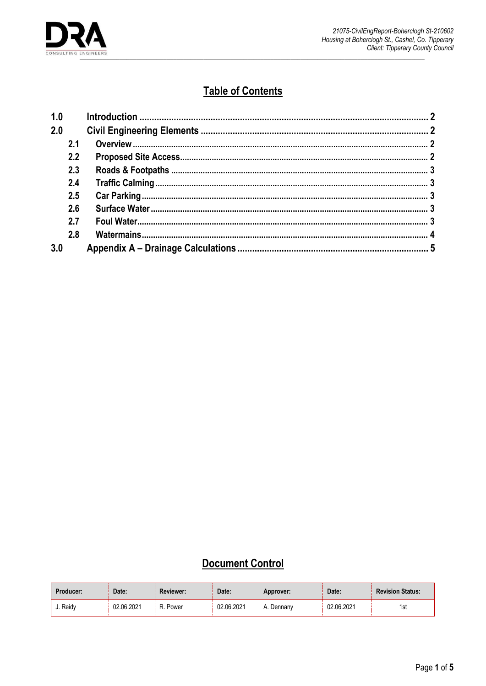

# **Table of Contents**

| 1.0 |  |
|-----|--|
| 2.0 |  |
| 2.1 |  |
| 2.2 |  |
| 2.3 |  |
| 2.4 |  |
| 2.5 |  |
| 2.6 |  |
| 2.7 |  |
| 2.8 |  |
| 3.0 |  |

# **Document Control**

| Producer: | Date:      | <b>Reviewer:</b> | Date:      | Approver:       | Date:      | <b>Revision Status:</b> |
|-----------|------------|------------------|------------|-----------------|------------|-------------------------|
| ง. Reidv  | 02.06.2021 | Power<br>D       | 02.06.2021 | . Dennanv<br>A. | 02.06.2021 | 1st                     |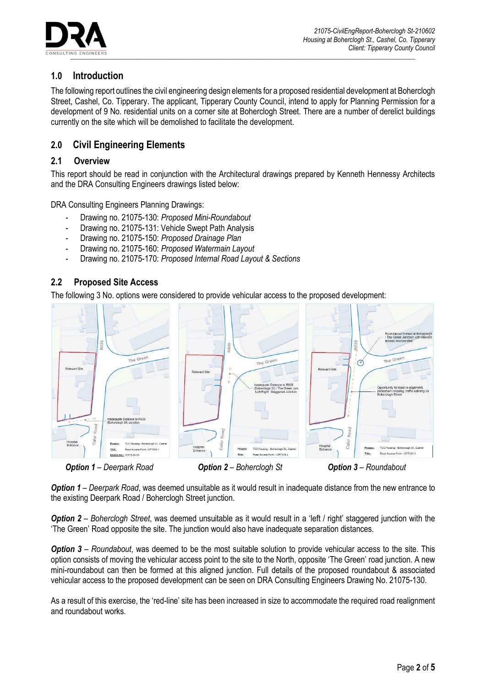

## <span id="page-2-0"></span>**1.0 Introduction**

The following report outlines the civil engineering design elements for a proposed residential development at Boherclogh Street, Cashel, Co. Tipperary. The applicant, Tipperary County Council, intend to apply for Planning Permission for a development of 9 No. residential units on a corner site at Boherclogh Street. There are a number of derelict buildings currently on the site which will be demolished to facilitate the development.

## <span id="page-2-1"></span>**2.0 Civil Engineering Elements**

## <span id="page-2-2"></span>**2.1 Overview**

This report should be read in conjunction with the Architectural drawings prepared by Kenneth Hennessy Architects and the DRA Consulting Engineers drawings listed below:

DRA Consulting Engineers Planning Drawings:

- Drawing no. 21075-130: *Proposed Mini-Roundabout*
- Drawing no. 21075-131: Vehicle Swept Path Analysis
- Drawing no. 21075-150: *Proposed Drainage Plan*
- Drawing no. 21075-160: *Proposed Watermain Layout*
- Drawing no. 21075-170: *Proposed Internal Road Layout & Sections*

### <span id="page-2-3"></span>**2.2 Proposed Site Access**

The following 3 No. options were considered to provide vehicular access to the proposed development:



*Option 1 – Deerpark Road*, was deemed unsuitable as it would result in inadequate distance from the new entrance to the existing Deerpark Road / Boherclogh Street junction.

*Option 2 – Boherclogh Street*, was deemed unsuitable as it would result in a 'left / right' staggered junction with the 'The Green' Road opposite the site. The junction would also have inadequate separation distances.

*Option 3 – Roundabout*, was deemed to be the most suitable solution to provide vehicular access to the site. This option consists of moving the vehicular access point to the site to the North, opposite 'The Green' road junction. A new mini-roundabout can then be formed at this aligned junction. Full details of the proposed roundabout & associated vehicular access to the proposed development can be seen on DRA Consulting Engineers Drawing No. 21075-130.

As a result of this exercise, the 'red-line' site has been increased in size to accommodate the required road realignment and roundabout works.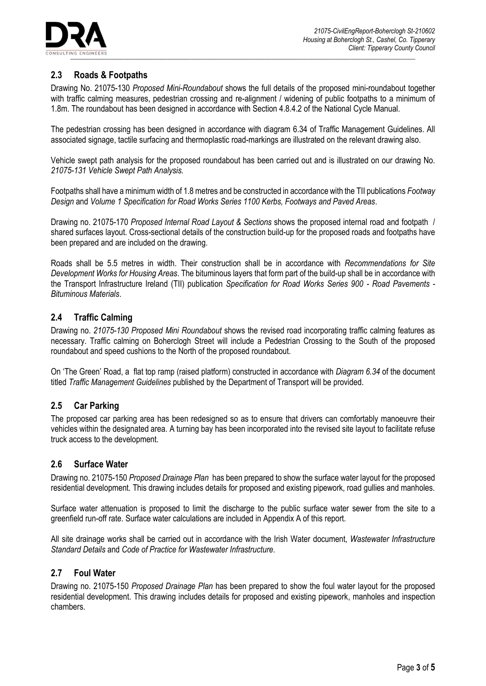

## <span id="page-3-0"></span>**2.3 Roads & Footpaths**

Drawing No. 21075-130 *Proposed Mini-Roundabout* shows the full details of the proposed mini-roundabout together with traffic calming measures, pedestrian crossing and re-alignment / widening of public footpaths to a minimum of 1.8m. The roundabout has been designed in accordance with Section 4.8.4.2 of the National Cycle Manual.

The pedestrian crossing has been designed in accordance with diagram 6.34 of Traffic Management Guidelines. All associated signage, tactile surfacing and thermoplastic road-markings are illustrated on the relevant drawing also.

Vehicle swept path analysis for the proposed roundabout has been carried out and is illustrated on our drawing No. *21075-131 Vehicle Swept Path Analysis.*

Footpaths shall have a minimum width of 1.8 metres and be constructed in accordance with the TII publications *Footway Design* and *Volume 1 Specification for Road Works Series 1100 Kerbs, Footways and Paved Areas*.

Drawing no. 21075-170 *Proposed Internal Road Layout & Sections* shows the proposed internal road and footpath / shared surfaces layout. Cross-sectional details of the construction build-up for the proposed roads and footpaths have been prepared and are included on the drawing.

Roads shall be 5.5 metres in width. Their construction shall be in accordance with *Recommendations for Site Development Works for Housing Areas*. The bituminous layers that form part of the build-up shall be in accordance with the Transport Infrastructure Ireland (TII) publication *Specification for Road Works Series 900 - Road Pavements - Bituminous Materials*.

## <span id="page-3-1"></span>**2.4 Traffic Calming**

Drawing no. *21075-130 Proposed Mini Roundabout* shows the revised road incorporating traffic calming features as necessary. Traffic calming on Boherclogh Street will include a Pedestrian Crossing to the South of the proposed roundabout and speed cushions to the North of the proposed roundabout.

On 'The Green' Road, a flat top ramp (raised platform) constructed in accordance with *Diagram 6.34* of the document titled *Traffic Management Guidelines* published by the Department of Transport will be provided.

## <span id="page-3-2"></span>**2.5 Car Parking**

The proposed car parking area has been redesigned so as to ensure that drivers can comfortably manoeuvre their vehicles within the designated area. A turning bay has been incorporated into the revised site layout to facilitate refuse truck access to the development.

#### <span id="page-3-3"></span>**2.6 Surface Water**

Drawing no. 21075-150 *Proposed Drainage Plan* has been prepared to show the surface water layout for the proposed residential development. This drawing includes details for proposed and existing pipework, road gullies and manholes.

Surface water attenuation is proposed to limit the discharge to the public surface water sewer from the site to a greenfield run-off rate. Surface water calculations are included in Appendix A of this report.

All site drainage works shall be carried out in accordance with the Irish Water document, *Wastewater Infrastructure Standard Details* and *Code of Practice for Wastewater Infrastructure.*

#### <span id="page-3-4"></span>**2.7 Foul Water**

Drawing no. 21075-150 *Proposed Drainage Plan* has been prepared to show the foul water layout for the proposed residential development. This drawing includes details for proposed and existing pipework, manholes and inspection chambers.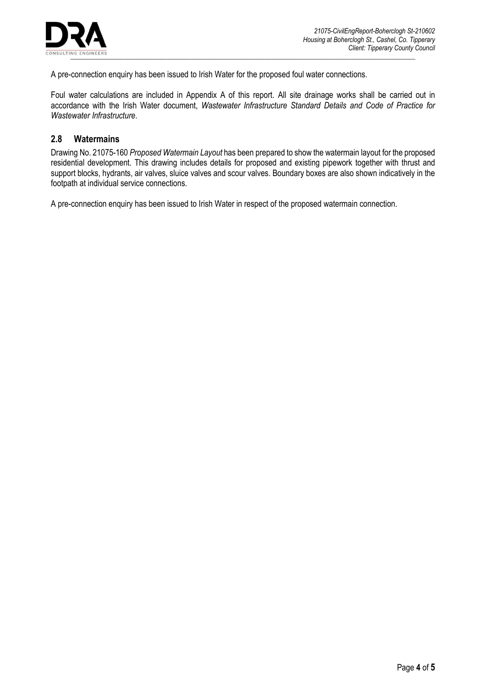

A pre-connection enquiry has been issued to Irish Water for the proposed foul water connections.

Foul water calculations are included in Appendix A of this report. All site drainage works shall be carried out in accordance with the Irish Water document, *Wastewater Infrastructure Standard Details and Code of Practice for Wastewater Infrastructure*.

#### <span id="page-4-0"></span>**2.8 Watermains**

Drawing No. 21075-160 *Proposed Watermain Layout* has been prepared to show the watermain layout for the proposed residential development. This drawing includes details for proposed and existing pipework together with thrust and support blocks, hydrants, air valves, sluice valves and scour valves. Boundary boxes are also shown indicatively in the footpath at individual service connections.

A pre-connection enquiry has been issued to Irish Water in respect of the proposed watermain connection.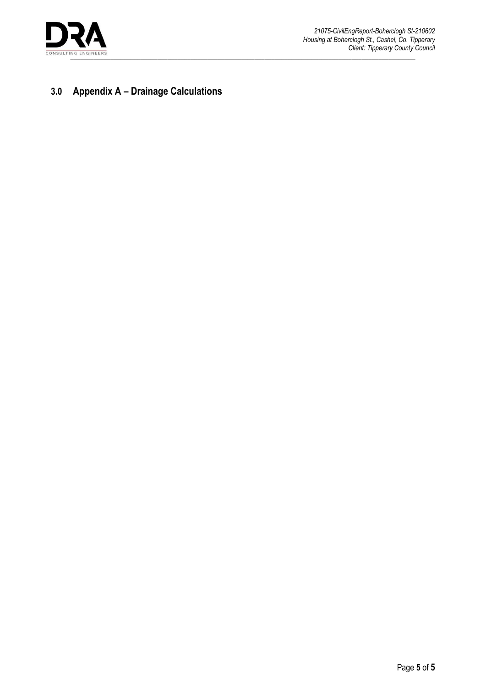

# <span id="page-5-0"></span>**3.0 Appendix A – Drainage Calculations**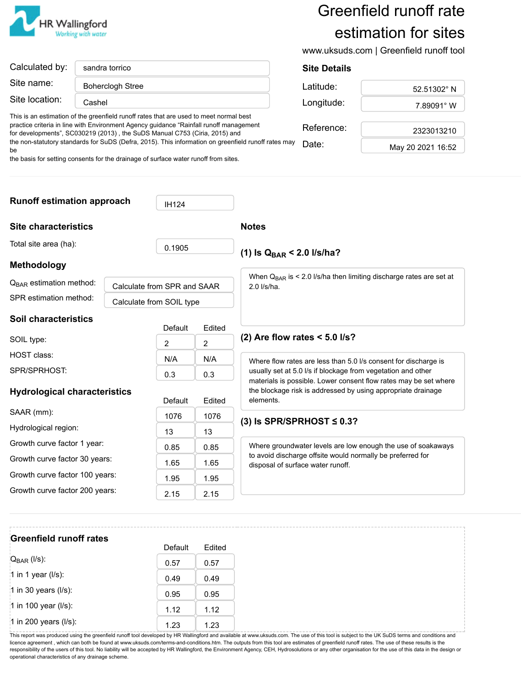

# Greenfield runoff rate estimation for sites

www.uksuds.com | Greenfield runoff tool

| Calculated by: | sandra torrico          |  |
|----------------|-------------------------|--|
| Site name:     | <b>Boherclogh Stree</b> |  |
| Site location: | Cashel                  |  |

This is an estimation of the greenfield runoff rates that are used to meet normal best practice criteria in line with Environment Agency guidance "Rainfall runoff management for developments", SC030219 (2013) , the SuDS Manual C753 (Ciria, 2015) and the non-statutory standards for SuDS (Defra, 2015). This information on greenfield runoff rates may be

the basis for setting consents for the drainage of surface water runoff from sites.

# **Site Details** Latitude:  $\vert$  52.51302° N Longitude:  $\vert$  7.89091° W Reference: 2323013210 Date: May 20 2021 16:52

**Runoff estimation approach** | **IH124 Site characteristics** Total site area (ha): 0.1905 **Methodology** Calculate from SPR and SAAR SPR estimation method: | Calculate from SOIL type **Soil characteristics** Default Edited SOIL type:  $\begin{array}{ccc} 2 & 2 \end{array}$ HOST class:  $N/A$  N/A N/A  $SPR/SPRHOST:$  0.3 0.3 0.3 **Hydrological characteristics** Default Edited SAAR (mm): 1076 1076 1076 Hydrological region:  $\begin{array}{|c|c|c|c|c|c|}\n\hline\n & 13 & 13\n\end{array}$ Growth curve factor 1 year: 0.85 0.85 Growth curve factor 30 years:  $\begin{array}{|c|c|c|c|c|c|}\n\hline\n1.65 & 1.65\n\end{array}$ Growth curve factor 100 years:  $\begin{array}{|c|c|c|c|c|c|}\n\hline\n1.95 & 1.95\n\end{array}$ Growth curve factor 200 years:  $\begin{array}{|c|c|c|c|c|c|}\n\hline\n2.15 & 2.15\n\end{array}$ **Notes** (1) Is Q<sub>BAR</sub> < 2.0 I/s/ha? When Q<sub>BAR</sub> is < 2.0 l/s/ha then limiting discharge rates are set at 2.0 l/s/ha. **(2) Are flow rates < 5.0 l/s?** Where flow rates are less than 5.0 l/s consent for discharge is usually set at 5.0 l/s if blockage from vegetation and other materials is possible. Lower consent flow rates may be set where the blockage risk is addressed by using appropriate drainage elements. **(3) Is SPR/SPRHOST ≤ 0.3?** Where groundwater levels are low enough the use of soakaways to avoid discharge offsite would normally be preferred for disposal of surface water runoff. Q<sub>BAR</sub> estimation method:

# **Greenfield runoff rates** Default Edited  $Q_{\text{BAR}} (l/s):$  0.57 0.57 1 in 1 year (I/s):  $\begin{array}{|c|c|c|c|c|c|c|c|c|} \hline 1 & 0.49 & 0.49 \ \hline \end{array}$ 1 in 30 years (I/s):  $\begin{bmatrix} 0.95 \end{bmatrix}$  0.95 1 in 100 year (I/s):  $\begin{array}{|c|c|c|c|c|}\n\hline\n1.12 & 1.12\n\end{array}$ 1 in 200 years (I/s):  $\begin{array}{|c|c|c|c|c|} \hline 1.23 & 1.23 \ \hline \end{array}$

This report was produced using the greenfield runoff tool developed by HR Wallingford and available at www.uksuds.com. The use of this tool is subject to the UK SuDS terms and conditions and licence agreement, which can both be found at www.uksuds.com/terms-and-conditions.htm. The outputs from this tool are estimates of greenfield runoff rates. The use of these results is the responsibility of the users of this tool. No liability will be accepted by HR Wallingford, the Environment Agency, CEH, Hydrosolutions or any other organisation for the use of this data in the design or operational characteristics of any drainage scheme.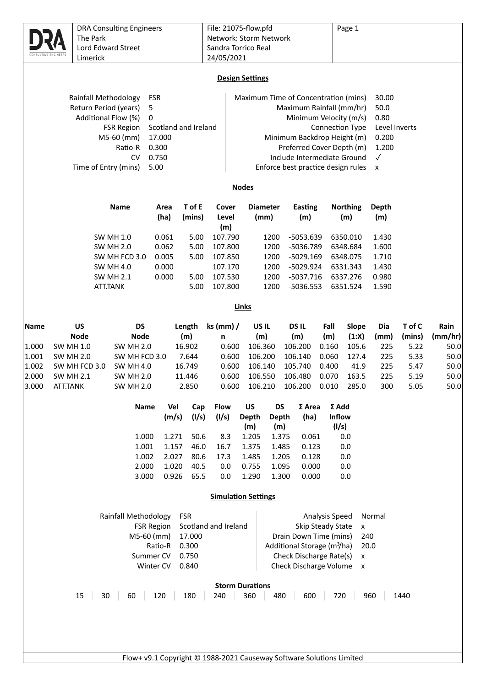|                |                                   | <b>DRA Consulting Engineers</b>      |                      |                  | File: 21075-flow.pfd   |                            |                           |                                         |                   | Page 1                        |               |              |              |
|----------------|-----------------------------------|--------------------------------------|----------------------|------------------|------------------------|----------------------------|---------------------------|-----------------------------------------|-------------------|-------------------------------|---------------|--------------|--------------|
|                | The Park                          |                                      |                      |                  | Network: Storm Network |                            |                           |                                         |                   |                               |               |              |              |
|                |                                   | Lord Edward Street                   |                      |                  | Sandra Torrico Real    |                            |                           |                                         |                   |                               |               |              |              |
|                | Limerick                          |                                      |                      |                  | 24/05/2021             |                            |                           |                                         |                   |                               |               |              |              |
|                |                                   |                                      |                      |                  |                        | <b>Design Settings</b>     |                           |                                         |                   |                               |               |              |              |
|                |                                   |                                      |                      |                  |                        |                            |                           |                                         |                   |                               |               |              |              |
|                | Rainfall Methodology              | <b>FSR</b>                           |                      |                  |                        |                            |                           | Maximum Time of Concentration (mins)    |                   |                               | 30.00         |              |              |
|                | Return Period (years)             | 5<br>0                               |                      |                  |                        |                            |                           | Maximum Rainfall (mm/hr)                |                   |                               | 50.0<br>0.80  |              |              |
|                | Additional Flow (%)               |                                      | Scotland and Ireland |                  |                        |                            |                           |                                         |                   | Minimum Velocity (m/s)        | Level Inverts |              |              |
|                |                                   | <b>FSR Region</b><br>M5-60 (mm)      | 17.000               |                  |                        |                            |                           | Minimum Backdrop Height (m)             |                   | Connection Type               | 0.200         |              |              |
|                |                                   | Ratio-R                              | 0.300                |                  |                        |                            |                           | Preferred Cover Depth (m)               |                   |                               | 1.200         |              |              |
|                |                                   | <b>CV</b>                            | 0.750                |                  |                        |                            |                           | Include Intermediate Ground             |                   |                               | $\checkmark$  |              |              |
|                | Time of Entry (mins)              |                                      | 5.00                 |                  |                        |                            |                           | Enforce best practice design rules      |                   |                               | x             |              |              |
|                |                                   |                                      |                      |                  |                        |                            |                           |                                         |                   |                               |               |              |              |
|                |                                   |                                      |                      |                  |                        | <b>Nodes</b>               |                           |                                         |                   |                               |               |              |              |
|                |                                   | <b>Name</b>                          | Area                 | T of E           | Cover                  |                            | <b>Diameter</b>           | Easting                                 |                   | <b>Northing</b>               | <b>Depth</b>  |              |              |
|                |                                   |                                      | (ha)                 | (mins)           | Level<br>(m)           |                            | (mm)                      | (m)                                     |                   | (m)                           | (m)           |              |              |
|                |                                   | <b>SW MH 1.0</b>                     | 0.061                | 5.00             | 107.790                |                            | 1200                      | $-5053.639$                             |                   | 6350.010                      | 1.430         |              |              |
|                |                                   | <b>SW MH 2.0</b>                     | 0.062                | 5.00             | 107.800                |                            | 1200                      | -5036.789                               |                   | 6348.684                      | 1.600         |              |              |
|                |                                   | SW MH FCD 3.0                        | 0.005                | 5.00             | 107.850                |                            | 1200                      | $-5029.169$                             |                   | 6348.075                      | 1.710         |              |              |
|                |                                   | <b>SW MH 4.0</b>                     | 0.000                |                  | 107.170                |                            | 1200                      | -5029.924                               |                   | 6331.343                      | 1.430         |              |              |
|                |                                   | <b>SW MH 2.1</b>                     | 0.000                | 5.00             | 107.530                |                            | 1200                      | $-5037.716$                             |                   | 6337.276                      | 0.980         |              |              |
|                |                                   | ATT.TANK                             |                      | 5.00             | 107.800                |                            | 1200                      | $-5036.553$                             |                   | 6351.524                      | 1.590         |              |              |
|                |                                   |                                      |                      |                  |                        | <b>Links</b>               |                           |                                         |                   |                               |               |              |              |
| Name           | <b>US</b>                         | <b>DS</b>                            |                      | Length           | $ks$ (mm) /            | US IL                      |                           | <b>DSIL</b>                             | Fall              | Slope                         | Dia           | T of C       | Rain         |
|                | <b>Node</b>                       | <b>Node</b>                          |                      | (m)              | n                      | (m)                        |                           | (m)                                     | (m)               | (1:X)                         | (mm)          | (mins)       | (mm/hr)      |
| 1.000          | <b>SW MH 1.0</b>                  | <b>SW MH 2.0</b>                     |                      | 16.902           | 0.600                  | 106.360                    |                           | 106.200                                 | 0.160             | 105.6                         | 225           | 5.22         | 50.0         |
| 1.001          | <b>SW MH 2.0</b>                  | SW MH FCD 3.0                        |                      | 7.644            | 0.600                  | 106.200                    |                           | 106.140                                 | 0.060             | 127.4                         | 225           | 5.33         | 50.0         |
| 1.002<br>2.000 | SW MH FCD 3.0<br><b>SW MH 2.1</b> | <b>SW MH 4.0</b><br><b>SW MH 2.0</b> |                      | 16.749<br>11.446 | 0.600<br>0.600         | 106.140<br>106.550         |                           | 105.740<br>106.480                      | 0.400<br>0.070    | 41.9<br>163.5                 | 225<br>225    | 5.47<br>5.19 | 50.0<br>50.0 |
| 3.000          | <b>ATT.TANK</b>                   | <b>SW MH 2.0</b>                     |                      | 2.850            | 0.600                  | 106.210                    |                           | 106.200                                 | 0.010             | 285.0                         | 300           | 5.05         | 50.0         |
|                |                                   |                                      |                      |                  |                        |                            |                           |                                         |                   |                               |               |              |              |
|                |                                   | Name                                 | Vel<br>(m/s)         | Cap<br>(1/s)     | <b>Flow</b><br>(1/s)   | US<br><b>Depth</b>         | <b>DS</b><br><b>Depth</b> | $\Sigma$ Area<br>(ha)                   |                   | $\Sigma$ Add<br><b>Inflow</b> |               |              |              |
|                |                                   |                                      |                      |                  |                        | (m)                        | (m)                       |                                         |                   | (1/s)                         |               |              |              |
|                |                                   | 1.000                                | 1.271                | 50.6             | 8.3                    | 1.205                      | 1.375                     | 0.061                                   |                   | 0.0                           |               |              |              |
|                |                                   | 1.001                                | 1.157                | 46.0             | 16.7                   | 1.375                      | 1.485                     | 0.123                                   |                   | 0.0                           |               |              |              |
|                |                                   | 1.002                                | 2.027                | 80.6             | 17.3                   | 1.485                      | 1.205                     | 0.128                                   |                   | 0.0                           |               |              |              |
|                |                                   | 2.000<br>3.000                       | 1.020<br>0.926       | 40.5<br>65.5     | 0.0<br>0.0             | 0.755<br>1.290             | 1.095<br>1.300            | 0.000<br>0.000                          |                   | 0.0<br>0.0                    |               |              |              |
|                |                                   |                                      |                      |                  |                        |                            |                           |                                         |                   |                               |               |              |              |
|                |                                   |                                      |                      |                  |                        | <b>Simulation Settings</b> |                           |                                         |                   |                               |               |              |              |
|                |                                   | Rainfall Methodology                 |                      | <b>FSR</b>       |                        |                            |                           |                                         | Analysis Speed    |                               | Normal        |              |              |
|                |                                   | <b>FSR Region</b>                    |                      |                  | Scotland and Ireland   |                            |                           |                                         | Skip Steady State | $\pmb{\mathsf{x}}$            |               |              |              |
|                |                                   | M5-60 (mm)                           |                      | 17.000           |                        |                            |                           | Drain Down Time (mins)                  |                   | 240                           |               |              |              |
|                |                                   |                                      | Ratio-R              | 0.300            |                        |                            |                           | Additional Storage (m <sup>3</sup> /ha) |                   |                               | 20.0          |              |              |
|                |                                   | Summer CV                            |                      | 0.750            |                        |                            |                           | Check Discharge Rate(s)                 |                   | X                             |               |              |              |
|                |                                   | Winter CV                            |                      | 0.840            |                        |                            |                           | Check Discharge Volume                  |                   | $\pmb{\times}$                |               |              |              |
|                |                                   |                                      |                      |                  |                        | <b>Storm Durations</b>     |                           |                                         |                   |                               |               |              |              |
|                | 15<br>30                          | 60                                   | 120                  | 180              | 240                    | 360                        | 480                       | 600                                     |                   | 720                           | 960           | 1440         |              |
|                |                                   |                                      |                      |                  |                        |                            |                           |                                         |                   |                               |               |              |              |
|                |                                   |                                      |                      |                  |                        |                            |                           |                                         |                   |                               |               |              |              |
|                |                                   |                                      |                      |                  |                        |                            |                           |                                         |                   |                               |               |              |              |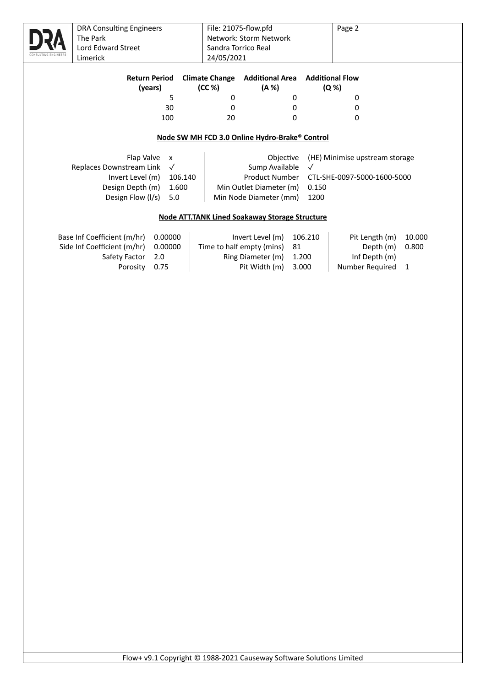| <b>DRA Consulting Engineers</b> |                           |         |                       | File: 21075-flow.pfd                                  |       |              | Page 2                         |        |
|---------------------------------|---------------------------|---------|-----------------------|-------------------------------------------------------|-------|--------------|--------------------------------|--------|
| The Park                        |                           |         |                       | Network: Storm Network                                |       |              |                                |        |
| Lord Edward Street              |                           |         |                       | Sandra Torrico Real                                   |       |              |                                |        |
| Limerick                        |                           |         | 24/05/2021            |                                                       |       |              |                                |        |
|                                 |                           |         |                       |                                                       |       |              |                                |        |
|                                 | <b>Return Period</b>      |         | <b>Climate Change</b> | <b>Additional Area</b>                                |       |              | <b>Additional Flow</b>         |        |
|                                 | (years)                   |         | (CC %)                | (A %)                                                 |       |              | (Q %)                          |        |
|                                 | 5                         |         | 0                     |                                                       | 0     |              | 0                              |        |
|                                 | 30                        |         | 0                     |                                                       | 0     |              | 0                              |        |
|                                 | 100                       |         | 20                    |                                                       | 0     |              | 0                              |        |
|                                 |                           |         |                       |                                                       |       |              |                                |        |
|                                 |                           |         |                       | Node SW MH FCD 3.0 Online Hydro-Brake® Control        |       |              |                                |        |
|                                 |                           |         |                       |                                                       |       |              |                                |        |
| Flap Valve                      | $\boldsymbol{\mathsf{x}}$ |         |                       | Objective                                             |       |              | (HE) Minimise upstream storage |        |
| Replaces Downstream Link        | $\checkmark$              |         |                       | Sump Available                                        |       | $\checkmark$ |                                |        |
| Invert Level (m)                |                           | 106.140 |                       | <b>Product Number</b>                                 |       |              | CTL-SHE-0097-5000-1600-5000    |        |
| Design Depth (m)                | 1.600                     |         |                       | Min Outlet Diameter (m)                               |       | 0.150        |                                |        |
| Design Flow (I/s)               | 5.0                       |         |                       | Min Node Diameter (mm)                                |       | 1200         |                                |        |
|                                 |                           |         |                       |                                                       |       |              |                                |        |
|                                 |                           |         |                       | <b>Node ATT.TANK Lined Soakaway Storage Structure</b> |       |              |                                |        |
|                                 |                           |         |                       |                                                       |       |              |                                |        |
| Base Inf Coefficient (m/hr)     | 0.00000                   |         |                       | Invert Level (m)                                      |       | 106.210      | Pit Length (m)                 | 10.000 |
| Side Inf Coefficient (m/hr)     | 0.00000                   |         |                       | Time to half empty (mins)                             | 81    |              | Depth (m)                      | 0.800  |
| Safety Factor                   | 2.0                       |         |                       | Ring Diameter (m)                                     | 1.200 |              | Inf Depth (m)                  |        |
| Porosity                        | 0.75                      |         |                       | Pit Width (m)                                         | 3.000 |              | Number Required                | 1      |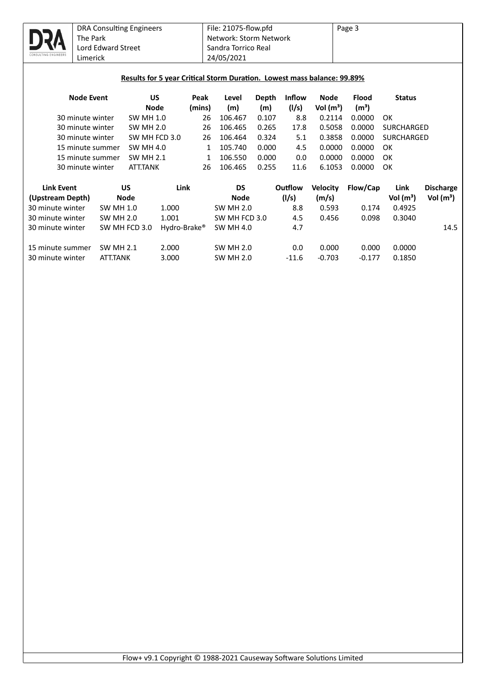

|  | Results for 5 year Critical Storm Duration. Lowest mass balance: 99.89% |
|--|-------------------------------------------------------------------------|
|  |                                                                         |

| <b>Node Event</b> | US<br><b>Node</b> | Peak<br>(mins) | Level<br>(m) | Depth<br>(m) | Inflow<br>(1/s) | <b>Node</b><br>Vol $(m^3)$ | <b>Flood</b><br>(m <sup>3</sup> ) | <b>Status</b>     |
|-------------------|-------------------|----------------|--------------|--------------|-----------------|----------------------------|-----------------------------------|-------------------|
| 30 minute winter  | <b>SW MH 1.0</b>  | 26             | 106.467      | 0.107        | 8.8             | 0.2114                     | 0.0000                            | OK                |
| 30 minute winter  | SW MH 2.0         | 26             | 106.465      | 0.265        | 17.8            | 0.5058                     | 0.0000                            | <b>SURCHARGED</b> |
| 30 minute winter  | SW MH FCD 3.0     | 26             | 106.464      | 0.324        | 5.1             | 0.3858                     | 0.0000                            | SURCHARGED        |
| 15 minute summer  | SW MH 4.0         |                | 105.740      | 0.000        | 4.5             | 0.0000                     | 0.0000                            | OK                |
| 15 minute summer  | <b>SW MH 2.1</b>  |                | 106.550      | 0.000        | 0.0             | 0.0000                     | 0.0000                            | OK                |
| 30 minute winter  | <b>ATT.TANK</b>   | 26             | 106.465      | 0.255        | 11.6            | 6.1053                     | 0.0000                            | OK                |

| <b>Link Event</b><br>(Upstream Depth) | บร<br><b>Node</b> | Link         | DS<br><b>Node</b> | Outflow<br>(1/s) | <b>Velocity</b><br>(m/s) | Flow/Cap | Link<br>Vol $(m^3)$ | <b>Discharge</b><br>Vol $(m^3)$ |
|---------------------------------------|-------------------|--------------|-------------------|------------------|--------------------------|----------|---------------------|---------------------------------|
| 30 minute winter                      | <b>SW MH 1.0</b>  | 1.000        | <b>SW MH 2.0</b>  | 8.8              | 0.593                    | 0.174    | 0.4925              |                                 |
| 30 minute winter                      | <b>SW MH 2.0</b>  | 1.001        | SW MH FCD 3.0     | 4.5              | 0.456                    | 0.098    | 0.3040              |                                 |
| 30 minute winter                      | SW MH FCD 3.0     | Hydro-Brake® | <b>SW MH 4.0</b>  | 4.7              |                          |          |                     | 14.5                            |
|                                       |                   |              |                   |                  |                          |          |                     |                                 |
| 15 minute summer                      | SW MH 2.1         | 2.000        | SW MH 2.0         | 0.0              | 0.000                    | 0.000    | 0.0000              |                                 |
| 30 minute winter                      | <b>ATT.TANK</b>   | 3.000        | <b>SW MH 2.0</b>  | $-11.6$          | $-0.703$                 | $-0.177$ | 0.1850              |                                 |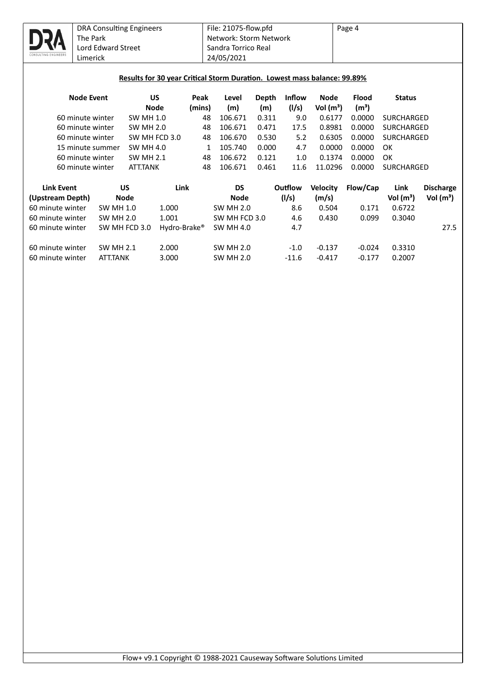

### **Results for 30 year Critical Storm Duration. Lowest mass balance: 99.89%**

| <b>Node Event</b> | US<br>Node       | Peak<br>(mins) | Level<br>(m) | Depth<br>(m) | <b>Inflow</b><br>(1/s) | Node<br>Vol $(m^3)$ | <b>Flood</b><br>(m <sup>3</sup> ) | <b>Status</b>     |
|-------------------|------------------|----------------|--------------|--------------|------------------------|---------------------|-----------------------------------|-------------------|
| 60 minute winter  | SW MH 1.0        | 48             | 106.671      | 0.311        | 9.0                    | 0.6177              | 0.0000                            | SURCHARGED        |
| 60 minute winter  | <b>SW MH 2.0</b> | 48             | 106.671      | 0.471        | 17.5                   | 0.8981              | 0.0000                            | <b>SURCHARGED</b> |
| 60 minute winter  | SW MH FCD 3.0    | 48             | 106.670      | 0.530        | 5.2                    | 0.6305              | 0.0000                            | <b>SURCHARGED</b> |
| 15 minute summer  | SW MH 4.0        |                | 105.740      | 0.000        | 4.7                    | 0.0000              | 0.0000                            | OK                |
| 60 minute winter  | <b>SW MH 2.1</b> | 48             | 106.672      | 0.121        | 1.0                    | 0.1374              | 0.0000                            | OK                |
| 60 minute winter  | <b>ATT.TANK</b>  | 48             | 106.671      | 0.461        | 11 6                   | 11.0296             | 0.0000                            | <b>SURCHARGED</b> |

| <b>Link Event</b> | บร               | Link         | DS               | Outflow | <b>Velocity</b> | Flow/Cap | Link        | <b>Discharge</b> |
|-------------------|------------------|--------------|------------------|---------|-----------------|----------|-------------|------------------|
| (Upstream Depth)  | <b>Node</b>      |              | <b>Node</b>      | (1/s)   | (m/s)           |          | Vol $(m^3)$ | Vol $(m^3)$      |
| 60 minute winter  | <b>SW MH 1.0</b> | 1.000        | <b>SW MH 2.0</b> | 8.6     | 0.504           | 0.171    | 0.6722      |                  |
| 60 minute winter  | SW MH 2.0        | 1.001        | SW MH FCD 3.0    | 4.6     | 0.430           | 0.099    | 0.3040      |                  |
| 60 minute winter  | SW MH FCD 3.0    | Hydro-Brake® | SW MH 4.0        | 4.7     |                 |          |             | 27.5             |
| 60 minute winter  | <b>SW MH 2.1</b> | 2.000        | <b>SW MH 2.0</b> | $-1.0$  | $-0.137$        | $-0.024$ | 0.3310      |                  |
| 60 minute winter  | ATT.TANK         | 3.000        | <b>SW MH 2.0</b> | $-11.6$ | $-0.417$        | $-0.177$ | 0.2007      |                  |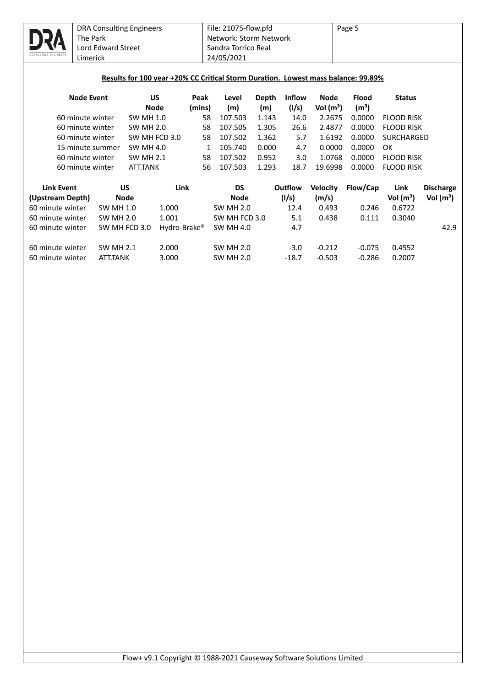

### Results for 100 year +20% CC Critical Storm Duration. Lowest mass balance: 99.89%

| <b>Node Event</b> | US<br><b>Node</b> | Peak<br>(mins) | Level<br>(m) | Depth<br>(m) | <b>Inflow</b><br>(1/s) | <b>Node</b><br>Vol $(m^3)$ | <b>Flood</b><br>(m <sup>3</sup> ) | <b>Status</b>     |
|-------------------|-------------------|----------------|--------------|--------------|------------------------|----------------------------|-----------------------------------|-------------------|
| 60 minute winter  | SW MH 1.0         | 58             | 107.503      | 1.143        | 14.0                   | 2.2675                     | 0.0000                            | <b>FLOOD RISK</b> |
| 60 minute winter  | SW MH 2.0         | 58             | 107.505      | 1.305        | 26.6                   | 2.4877                     | 0.0000                            | FLOOD RISK        |
| 60 minute winter  | SW MH FCD 3.0     | 58             | 107.502      | 1.362        | 5.7                    | 1.6192                     | 0.0000                            | <b>SURCHARGED</b> |
| 15 minute summer  | SW MH 4.0         |                | 105.740      | 0.000        | 4.7                    | 0.0000                     | 0.0000                            | OK                |
| 60 minute winter  | <b>SW MH 2.1</b>  | 58             | 107.502      | 0.952        | 3.0                    | 1.0768                     | 0.0000                            | <b>FLOOD RISK</b> |
| 60 minute winter  | <b>ATT.TANK</b>   | 56             | 107.503      | 1.293        | 18.7                   | 19.6998                    | 0.0000                            | <b>FLOOD RISK</b> |

| <b>Link Event</b> | บร               | Link         | DS               | Outflow | <b>Velocity</b> | Flow/Cap | Link        | <b>Discharge</b> |
|-------------------|------------------|--------------|------------------|---------|-----------------|----------|-------------|------------------|
| (Upstream Depth)  | <b>Node</b>      |              | <b>Node</b>      | (1/s)   | (m/s)           |          | Vol $(m^3)$ | Vol $(m^3)$      |
| 60 minute winter  | SW MH 1.0        | 1.000        | <b>SW MH 2.0</b> | 12.4    | 0.493           | 0.246    | 0.6722      |                  |
| 60 minute winter  | <b>SW MH 2.0</b> | 1.001        | SW MH FCD 3.0    | 5.1     | 0.438           | 0.111    | 0.3040      |                  |
| 60 minute winter  | SW MH FCD 3.0    | Hydro-Brake® | <b>SW MH 4.0</b> | 4.7     |                 |          |             | 42.9             |
|                   |                  |              |                  |         |                 |          |             |                  |
| 60 minute winter  | <b>SW MH 2.1</b> | 2.000        | <b>SW MH 2.0</b> | $-3.0$  | $-0.212$        | $-0.075$ | 0.4552      |                  |
| 60 minute winter  | <b>ATT.TANK</b>  | 3.000        | <b>SW MH 2.0</b> | $-18.7$ | $-0.503$        | $-0.286$ | 0.2007      |                  |